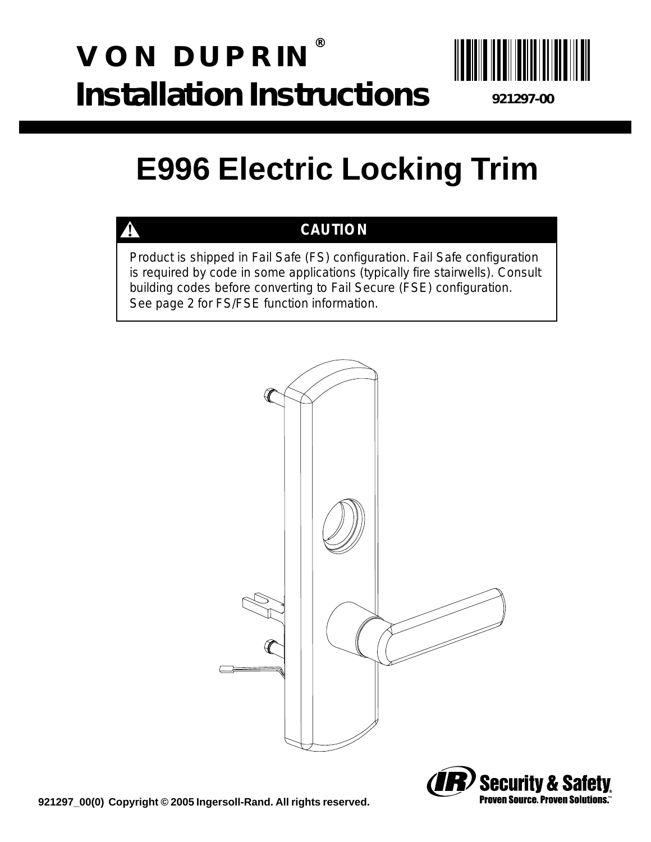# **VON DUPRIN ® Installation Instructions**



**921297-00**

## **E996 Electric Locking Trim**

## **! CAUTION**

Product is shipped in Fail Safe (FS) configuration. Fail Safe configuration is required by code in some applications (typically fire stairwells). Consult building codes before converting to Fail Secure (FSE) configuration. See page 2 for FS/FSE function information.



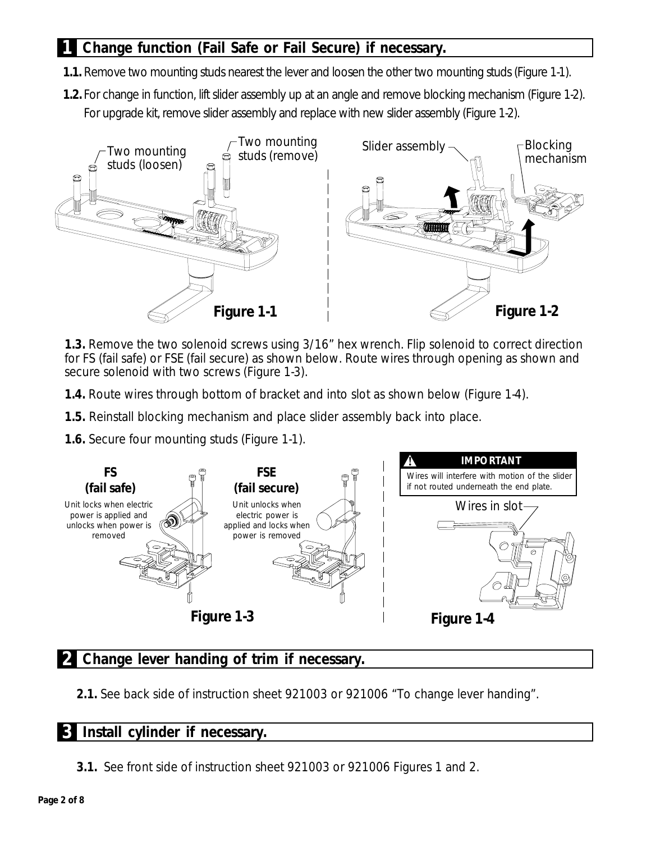### **1 Change function (Fail Safe or Fail Secure) if necessary.**

- **1.1.** Remove two mounting studs nearest the lever and loosen the other two mounting studs (Figure 1-1).
- **1.2.** For change in function, lift slider assembly up at an angle and remove blocking mechanism (Figure 1-2). For upgrade kit, remove slider assembly and replace with new slider assembly (Figure 1-2).



**1.3.** Remove the two solenoid screws using 3/16" hex wrench. Flip solenoid to correct direction for FS (fail safe) or FSE (fail secure) as shown below. Route wires through opening as shown and secure solenoid with two screws (Figure 1-3).

- **1.4.** Route wires through bottom of bracket and into slot as shown below (Figure 1-4).
- **1.5.** Reinstall blocking mechanism and place slider assembly back into place.
- **1.6.** Secure four mounting studs (Figure 1-1).



#### **2 Change lever handing of trim if necessary.**

**2.1.** See back side of instruction sheet 921003 or 921006 "To change lever handing".

#### **3 Install cylinder if necessary.**

**3.1.** See front side of instruction sheet 921003 or 921006 Figures 1 and 2.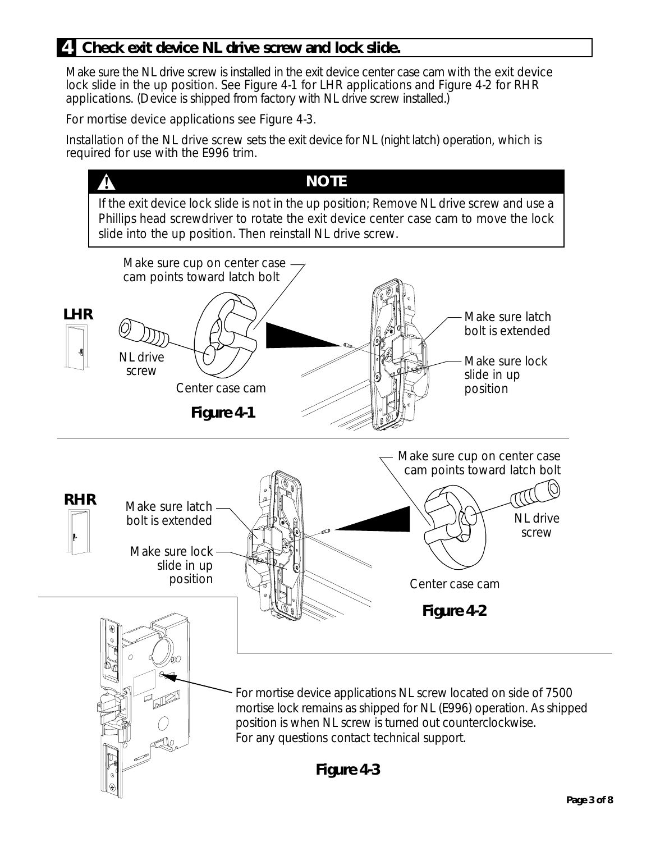#### **4 Check exit device NL drive screw and lock slide.**

Make sure the NL drive screw is installed in the exit device center case cam with the exit device lock slide in the up position. See Figure 4-1 for LHR applications and Figure 4-2 for RHR applications. (Device is shipped from factory with NL drive screw installed.)

For mortise device applications see Figure 4-3.

Installation of the NL drive screw sets the exit device for NL (night latch) operation, which is required for use with the E996 trim.

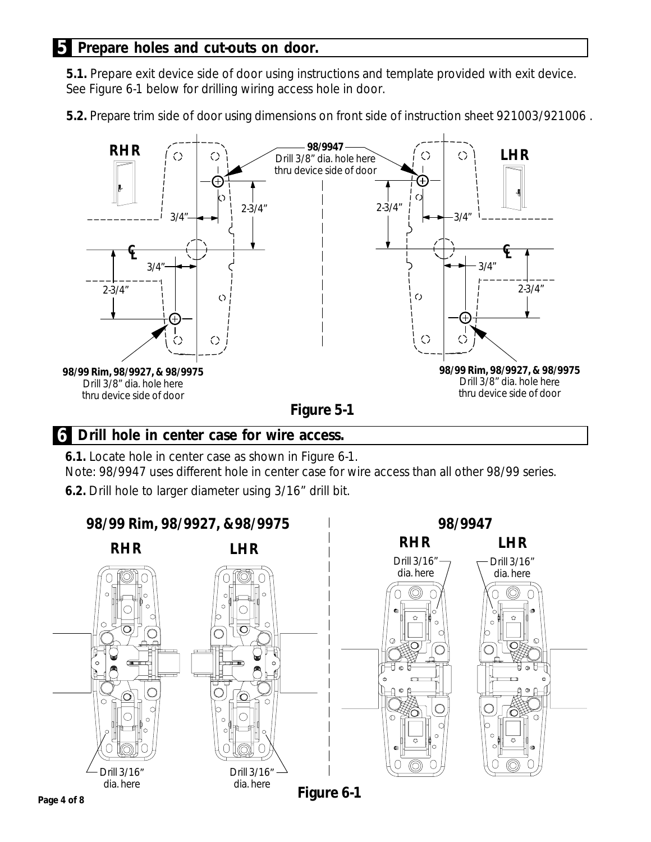#### **5 Prepare holes and cut-outs on door.**

**5.1.** Prepare exit device side of door using instructions and template provided with exit device. See Figure 6-1 below for drilling wiring access hole in door.

**5.2.** Prepare trim side of door using dimensions on front side of instruction sheet 921003/921006 .



#### **6 Drill hole in center case for wire access.**

**6.1.** Locate hole in center case as shown in Figure 6-1.

Note: 98/9947 uses different hole in center case for wire access than all other 98/99 series.

**6.2.** Drill hole to larger diameter using 3/16" drill bit.

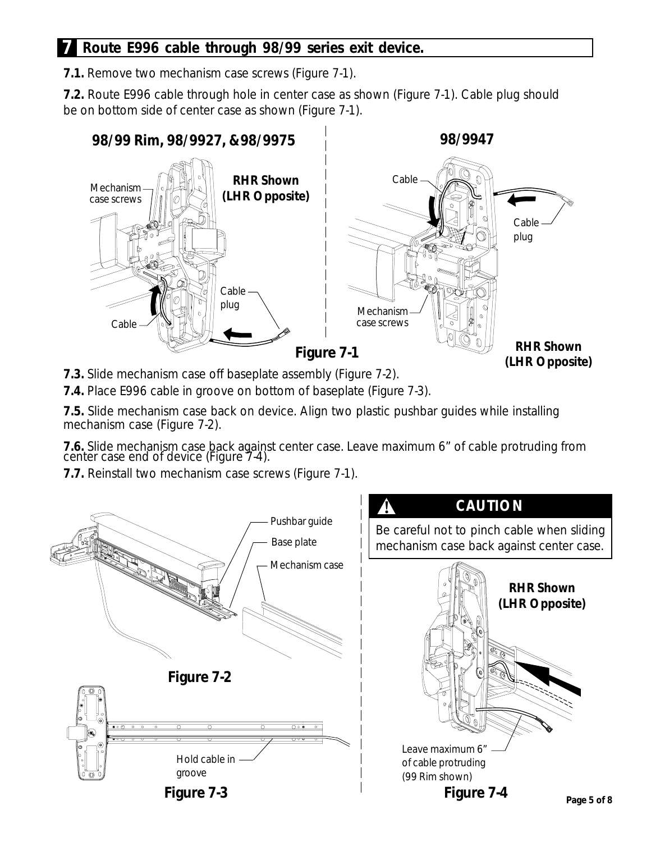#### **7 Route E996 cable through 98/99 series exit device.**

**7.1.** Remove two mechanism case screws (Figure 7-1).

**7.2.** Route E996 cable through hole in center case as shown (Figure 7-1). Cable plug should be on bottom side of center case as shown (Figure 7-1).



**7.3.** Slide mechanism case off baseplate assembly (Figure 7-2).

**7.4.** Place E996 cable in groove on bottom of baseplate (Figure 7-3).

**7.5.** Slide mechanism case back on device. Align two plastic pushbar guides while installing mechanism case (Figure 7-2).

**7.6.** Slide mechanism case back against center case. Leave maximum 6" of cable protruding from center case end of device (Figure 7-4).

**7.7.** Reinstall two mechanism case screws (Figure 7-1).

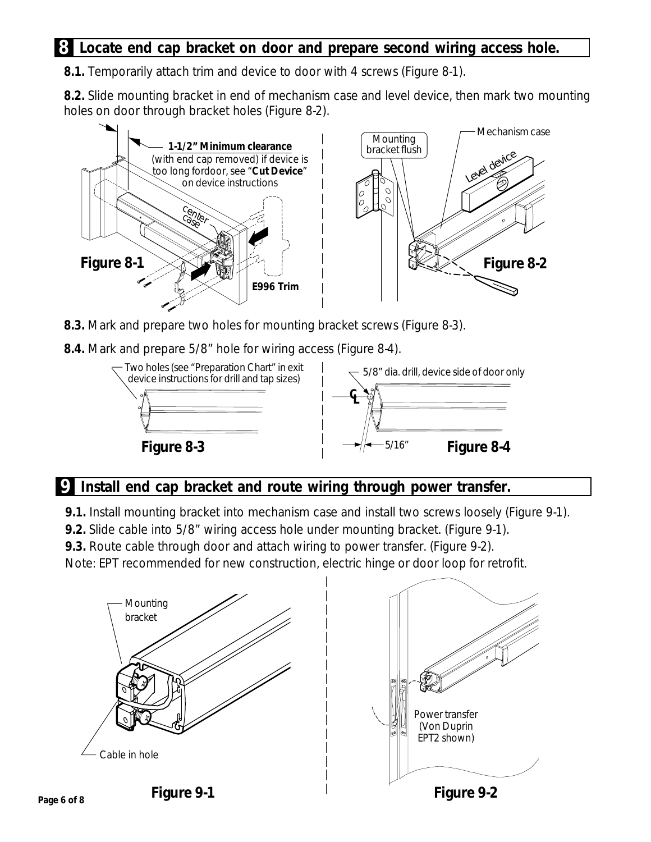#### **8 Locate end cap bracket on door and prepare second wiring access hole.**

**8.1.** Temporarily attach trim and device to door with 4 screws (Figure 8-1).

**8.2.** Slide mounting bracket in end of mechanism case and level device, then mark two mounting holes on door through bracket holes (Figure 8-2).



- **8.3.** Mark and prepare two holes for mounting bracket screws (Figure 8-3).
- **8.4.** Mark and prepare 5/8" hole for wiring access (Figure 8-4).



#### **9 Install end cap bracket and route wiring through power transfer.**

**9.1.** Install mounting bracket into mechanism case and install two screws loosely (Figure 9-1).

**9.2.** Slide cable into 5/8" wiring access hole under mounting bracket. (Figure 9-1).

**9.3.** Route cable through door and attach wiring to power transfer. (Figure 9-2).

Note: EPT recommended for new construction, electric hinge or door loop for retrofit.



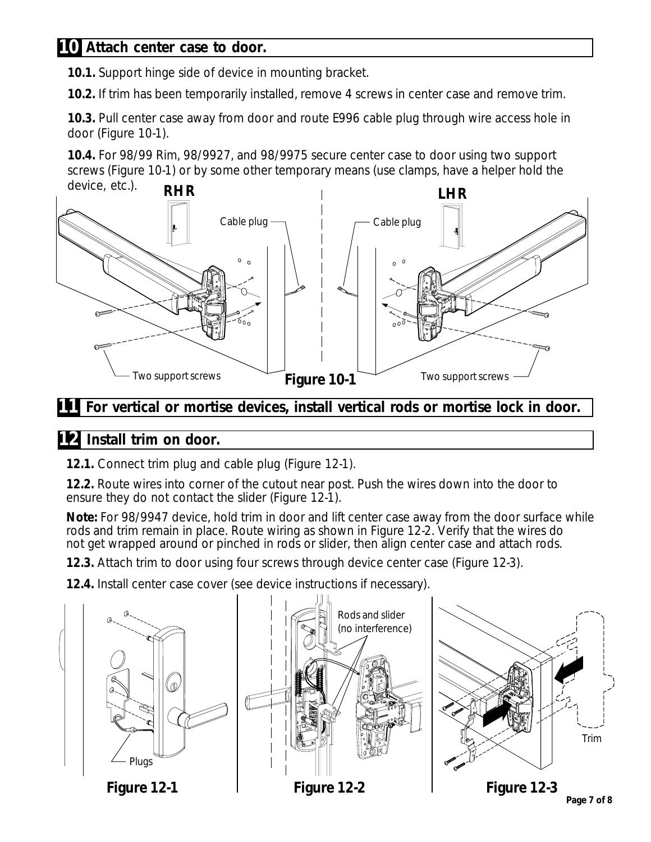#### **10 Attach center case to door.**

**10.1.** Support hinge side of device in mounting bracket.

**10.2.** If trim has been temporarily installed, remove 4 screws in center case and remove trim.

**10.3.** Pull center case away from door and route E996 cable plug through wire access hole in door (Figure 10-1).

**10.4.** For 98/99 Rim, 98/9927, and 98/9975 secure center case to door using two support screws (Figure 10-1) or by some other temporary means (use clamps, have a helper hold the



**11** For vertical or mortise devices, install vertical rods or mortise lock in door.

### **12 Install trim on door.**

**12.1.** Connect trim plug and cable plug (Figure 12-1).

**12.2.** Route wires into corner of the cutout near post. Push the wires down into the door to ensure they do not contact the slider (Figure 12-1).

**Note:** For 98/9947 device, hold trim in door and lift center case away from the door surface while rods and trim remain in place. Route wiring as shown in Figure 12-2. Verify that the wires do not get wrapped around or pinched in rods or slider, then align center case and attach rods.

**12.3.** Attach trim to door using four screws through device center case (Figure 12-3).

**12.4.** Install center case cover (see device instructions if necessary).